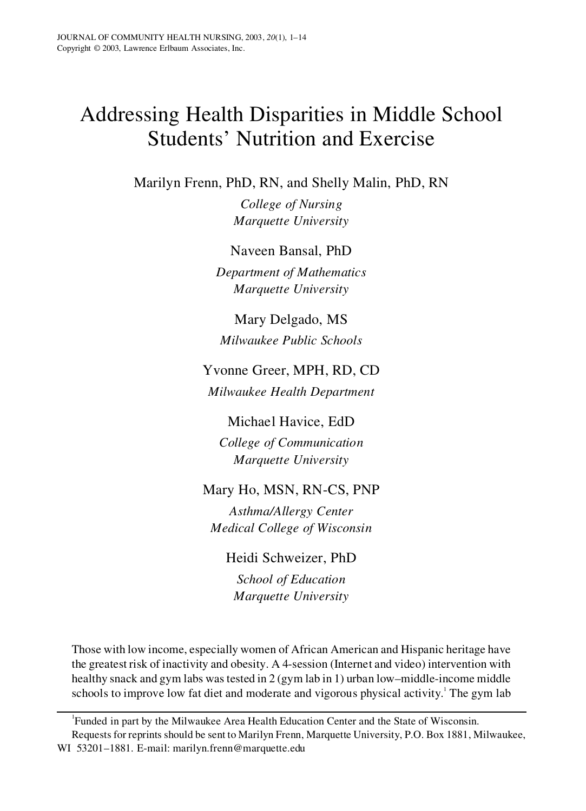# Addressing Health Disparities in Middle School Students' Nutrition and Exercise

Marilyn Frenn, PhD, RN, and Shelly Malin, PhD, RN

*College of Nursing Marquette University*

Naveen Bansal, PhD

*Department of Mathematics Marquette University*

Mary Delgado, MS *Milwaukee Public Schools*

# Yvonne Greer, MPH, RD, CD *Milwaukee Health Department*

Michael Havice, EdD *College of Communication Marquette University*

# Mary Ho, MSN, RN-CS, PNP

*Asthma/Allergy Center Medical College of Wisconsin*

Heidi Schweizer, PhD

*School of Education Marquette University*

Those with low income, especially women of African American and Hispanic heritage have the greatest risk of inactivity and obesity. A 4-session (Internet and video) intervention with healthy snack and gym labs was tested in 2 (gym lab in 1) urban low–middle-income middle schools to improve low fat diet and moderate and vigorous physical activity.<sup>1</sup> The gym lab

<sup>1</sup>Funded in part by the Milwaukee Area Health Education Center and the State of Wisconsin. Requests for reprints should be sent to Marilyn Frenn, Marquette University, P.O. Box 1881, Milwaukee, WI 53201–1881. E-mail: marilyn.frenn@marquette.edu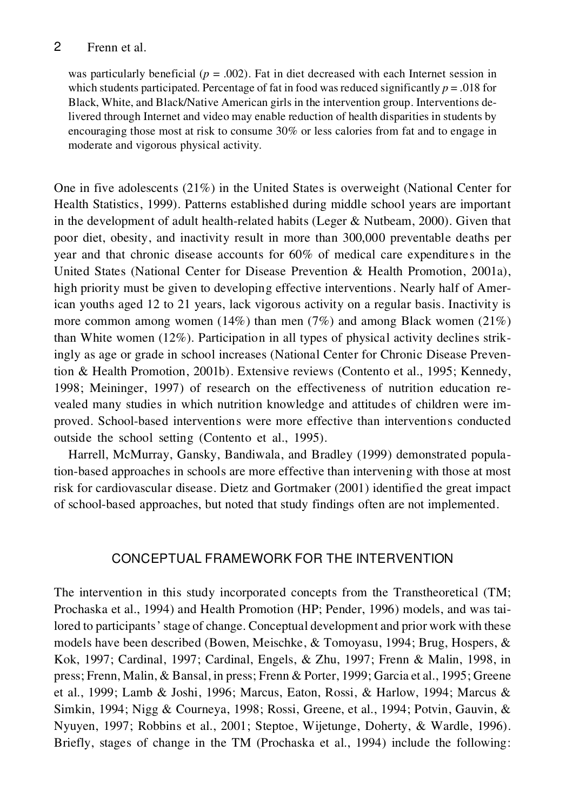was particularly beneficial  $(p = .002)$ . Fat in diet decreased with each Internet session in which students participated. Percentage of fat in food was reduced significantly *p* = .018 for Black, White, and Black/Native American girls in the intervention group. Interventions delivered through Internet and video may enable reduction of health disparities in students by encouraging those most at risk to consume 30% or less calories from fat and to engage in moderate and vigorous physical activity.

One in five adolescents (21%) in the United States is overweight (National Center for Health Statistics, 1999). Patterns established during middle school years are important in the development of adult health-related habits (Leger & Nutbeam, 2000). Given that poor diet, obesity, and inactivity result in more than 300,000 preventable deaths per year and that chronic disease accounts for 60% of medical care expenditures in the United States (National Center for Disease Prevention & Health Promotion, 2001a), high priority must be given to developing effective interventions. Nearly half of American youths aged 12 to 21 years, lack vigorous activity on a regular basis. Inactivity is more common among women (14%) than men (7%) and among Black women (21%) than White women (12%). Participation in all types of physical activity declines strikingly as age or grade in school increases (National Center for Chronic Disease Prevention & Health Promotion, 2001b). Extensive reviews (Contento et al., 1995; Kennedy, 1998; Meininger, 1997) of research on the effectiveness of nutrition education re vealed many studies in which nutrition knowledge and attitudes of children were im proved. School-based interventions were more effective than interventions conducted outside the school setting (Contento et al., 1995).

Harrell, McMurray, Gansky, Bandiwala, and Bradley (1999) demonstrated population-based approaches in schools are more effective than intervening with those at most risk for cardiovascular disease. Dietz and Gortmaker (2001) identified the great impact of school-based approaches, but noted that study findings often are not implemented.

#### CONCEPTUAL FRAMEWORK FOR THE INTERVENTION

The intervention in this study incorporated concepts from the Transtheoretical (TM; Prochaska et al., 1994) and Health Promotion (HP; Pender, 1996) models, and was tailored to participants' stage of change. Conceptual development and prior work with these models have been described (Bowen, Meischke, & Tomoyasu, 1994; Brug, Hospers, & Kok, 1997; Cardinal, 1997; Cardinal, Engels, & Zhu, 1997; Frenn & Malin, 1998, in press; Frenn, Malin, & Bansal, in press; Frenn & Porter, 1999; Garcia et al., 1995; Greene et al., 1999; Lamb & Joshi, 1996; Marcus, Eaton, Rossi, & Harlow, 1994; Marcus & Simkin, 1994; Nigg & Courneya, 1998; Rossi, Greene, et al., 1994; Potvin, Gauvin, & Nyuyen, 1997; Robbins et al., 2001; Steptoe, Wijetunge, Doherty, & Wardle, 1996). Briefly, stages of change in the TM (Prochaska et al., 1994) include the following: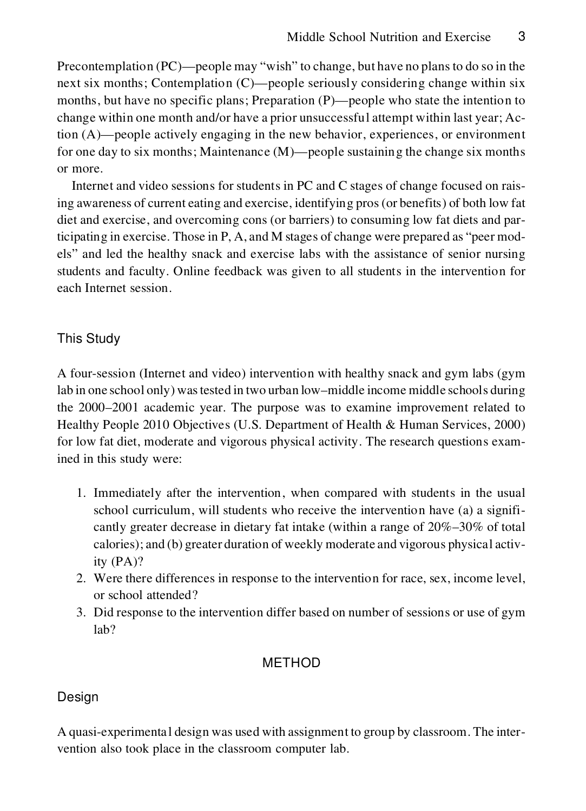Precontemplation (PC)—people may "wish" to change, but have no plans to do so in the next six months; Contemplation (C)—people seriously considering change within six months, but have no specific plans; Preparation (P)—people who state the intention to change within one month and/or have a prior unsuccessful attempt within last year; Action (A)—people actively engaging in the new behavior, experiences, or environment for one day to six months; Maintenance (M)—people sustaining the change six months or more.

Internet and video sessions for students in PC and C stages of change focused on raising awareness of current eating and exercise, identifying pros(or benefits) of both low fat diet and exercise, and overcoming cons (or barriers) to consuming low fatdiets and participating in exercise. Those in P, A, and M stages of change were prepared as "peer mod els" and led the healthy snack and exercise labs with the assistance of senior nursing students and faculty. Online feedback was given to all students in the intervention for each Internet session.

#### This Study

A four-session (Internet and video) intervention with healthy snack and gym labs (gym lab in one school only) wastested in two urban low–middle income middle schools during the 2000–2001 academic year. The purpose was to examine improvement related to Healthy People 2010 Objectives (U.S. Department of Health & Human Services, 2000) for low fat diet, moderate and vigorous physical activity. The research questions examined in this study were:

- 1. Immediately after the intervention, when compared with students in the usual school curriculum, will students who receive the intervention have (a) a signifi cantly greater decrease in dietary fat intake (within a range of 20%–30% of total calories); and (b) greater duration of weekly moderate and vigorous physical activity (PA)?
- 2. Were there differences in response to the intervention for race, sex, income level, or school attended?
- 3. Did response to the intervention differ based on number of sessions or use of gym lab?

### METHOD

### Design

A quasi-experimenta l design was used with assignment to group by classroom. The inter vention also took place in the classroom computer lab.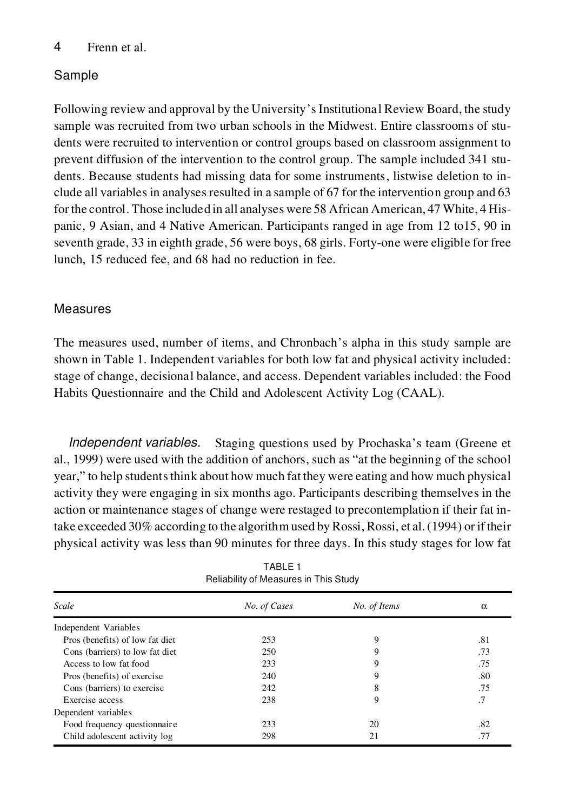### Sample

Following review and approval by the University's Institutional Review Board, the study sample was recruited from two urban schools in the Midwest. Entire classrooms of stu dents were recruited to intervention or control groups based on classroom assignment to prevent diffusion of the intervention to the control group. The sample included 341 stu dents. Because students had missing data for some instruments, listwise deletion to in clude all variables in analyses resulted in a sample of 67 for the intervention group and 63 forthe control. Those included in all analyses were 58 African American, 47 White, 4 His panic, 9 Asian, and 4 Native American. Participants ranged in age from 12 to15, 90 in seventh grade, 33 in eighth grade, 56 were boys, 68 girls. Forty-one were eligible for free lunch, 15 reduced fee, and 68 had no reduction in fee.

#### Measures

The measures used, number of items, and Chronbach's alpha in this study sample are shown in Table 1. Independent variables for both low fat and physical activity included: stage of change, decisional balance, and access. Dependent variables included: the Food Habits Questionnaire and the Child and Adolescent Activity Log (CAAL).

*Independent variables.* Staging questions used by Prochaska's team (Greene et al., 1999) were used with the addition of anchors, such as "at the beginning of the school year," to help students think about how much fat they were eating and how much physical activity they were engaging in six months ago. Participants describing themselves in the action or maintenance stages of change were restaged to precontemplation if their fat intake exceeded 30% according to the algorithmused by Rossi, Rossi, et al.(1994) or if their physical activity was less than 90 minutes for three days. In this study stages for low fat

| Scale                           | No. of Cases | No. of Items | $\alpha$ |
|---------------------------------|--------------|--------------|----------|
| Independent Variables           |              |              |          |
| Pros (benefits) of low fat diet | 253          | 9            | .81      |
| Cons (barriers) to low fat diet | 250          | 9            | .73      |
| Access to low fat food          | 233          | 9            | .75      |
| Pros (benefits) of exercise     | 240          | 9            | .80      |
| Cons (barriers) to exercise     | 242          | 8            | .75      |
| Exercise access                 | 238          | 9            | .7       |
| Dependent variables             |              |              |          |
| Food frequency questionnaire    | 233          | 20           | .82      |
| Child adolescent activity log   | 298          | 21           | .77      |

TABLE 1 Reliability of Measures in This Study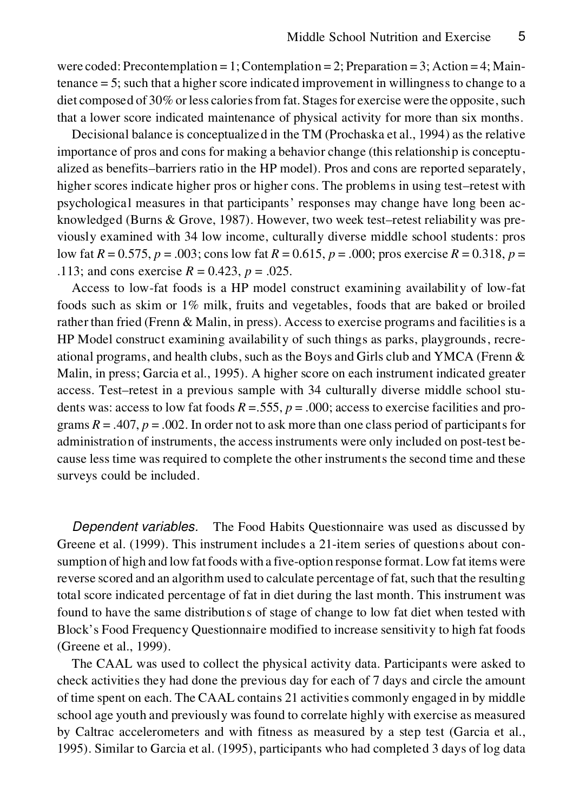were coded: Precontemplation = 1; Contemplation = 2; Preparation = 3; Action = 4; Maintenance = 5; such that a higher score indicated improvement in willingness to change to a diet composed of  $30\%$  or less calories from fat. Stages for exercise were the opposite, such that a lower score indicated maintenance of physical activity for more than six months.

Decisional balance is conceptualized in the TM (Prochaska et al., 1994) as the relative importance of pros and cons for making a behavior change (thisrelationship is conceptu alized as benefits–barriers ratio in the HP model). Pros and cons are reported separately, higher scores indicate higher pros or higher cons. The problems in using test–retest with psychological measures in that participants' responses may change have long been ac knowledged (Burns & Grove, 1987). However, two week test–retest reliability was pre viously examined with 34 low income, culturally diverse middle school students: pros low fat *R* = 0.575, *p* = .003; cons low fat *R* = 0.615, *p* = .000; pros exercise *R* = 0.318, *p* = .113; and cons exercise  $R = 0.423$ ,  $p = .025$ .

Access to low-fat foods is a HP model construct examining availability of low-fat foods such as skim or 1% milk, fruits and vegetables, foods that are baked or broiled rather than fried (Frenn & Malin, in press). Access to exercise programs and facilities is a HP Model construct examining availability of such things as parks, playgrounds, recre ational programs, and health clubs, such as the Boys and Girls club and YMCA (Frenn  $\&$ Malin, in press; Garcia et al., 1995). A higher score on each instrument indicated greater access. Test–retest in a previous sample with 34 culturally diverse middle school stu dents was: access to low fat foods  $R = 0.555$ ,  $p = 0.000$ ; access to exercise facilities and programs  $R = .407$ ,  $p = .002$ . In order not to ask more than one class period of participants for administration of instruments, the accessinstruments were only included on post-test be cause less time was required to complete the other instruments the second time and these surveys could be included.

*Dependent variables.* The Food Habits Questionnaire was used as discussed by Greene et al. (1999). This instrument includes a 21-item series of questions about consumption of high and low fatfoods with a five-option response format.Low fat items were reverse scored and an algorithm used to calculate percentage of fat,such that the resulting total score indicated percentage of fat in diet during the last month. This instrument was found to have the same distributions of stage of change to low fatdiet when tested with Block's Food Frequency Questionnaire modified to increase sensitivity to high fat foods (Greene et al., 1999).

The CAAL was used to collect the physical activity data. Participants were asked to check activities they had done the previous day for each of 7 days and circle the amount of time spent on each. The CAAL contains 21 activities commonly engaged in by middle school age youth and previously was found to correlate highly with exercise as measured by Caltrac accelerometers and with fitness as measured by a step test (Garcia et al., 1995). Similar to Garcia et al. (1995), participants who had completed 3 days of log data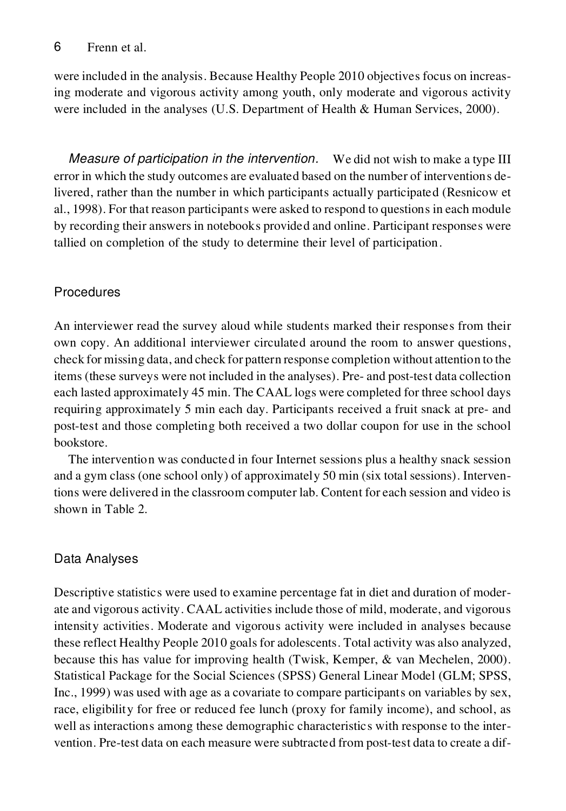were included in the analysis. Because Healthy People 2010 objectives focus on increasing moderate and vigorous activity among youth, only moderate and vigorous activity were included in the analyses (U.S. Department of Health & Human Services, 2000).

*Measure of participation in the intervention.* We did not wish to make a type III error in which the study outcomes are evaluated based on the number of interventions delivered, rather than the number in which participants actually participated (Resnicow et al., 1998). For that reason participants were asked to respond to questions in each module by recording their answers in notebooks provided and online. Participant responses were tallied on completion of the study to determine their level of participation.

### **Procedures**

An interviewer read the survey aloud while students marked their responses from their own copy. An additional interviewer circulated around the room to answer questions, check for missing data, and check for pattern response completion without attention to the items (these surveys were not included in the analyses). Pre- and post-test data collection each lasted approximately 45 min. The CAAL logs were completed for three school days requiring approximately 5 min each day. Participants received a fruit snack at pre- and post-test and those completing both received a two dollar coupon for use in the school bookstore.

The intervention was conducted in four Internet sessions plus a healthy snack session and a gym class (one school only) of approximately 50 min (six total sessions). Interventions were delivered in the classroom computer lab. Content for each session and video is shown in Table 2.

# Data Analyses

Descriptive statistics were used to examine percentage fat in diet and duration of moder ate and vigorous activity. CAAL activities include those of mild, moderate, and vigorous intensity activities. Moderate and vigorous activity were included in analyses because these reflect Healthy People 2010 goals for adolescents. Total activity was also analyzed, because this has value for improving health (Twisk, Kemper, & van Mechelen, 2000). Statistical Package for the Social Sciences (SPSS) General Linear Model (GLM; SPSS, Inc., 1999) was used with age as a covariate to compare participants on variables by sex, race, eligibility for free or reduced fee lunch (proxy for family income), and school, as well as interactions among these demographic characteristics with response to the inter vention. Pre-test data on each measure were subtracted from post-test data to create a dif-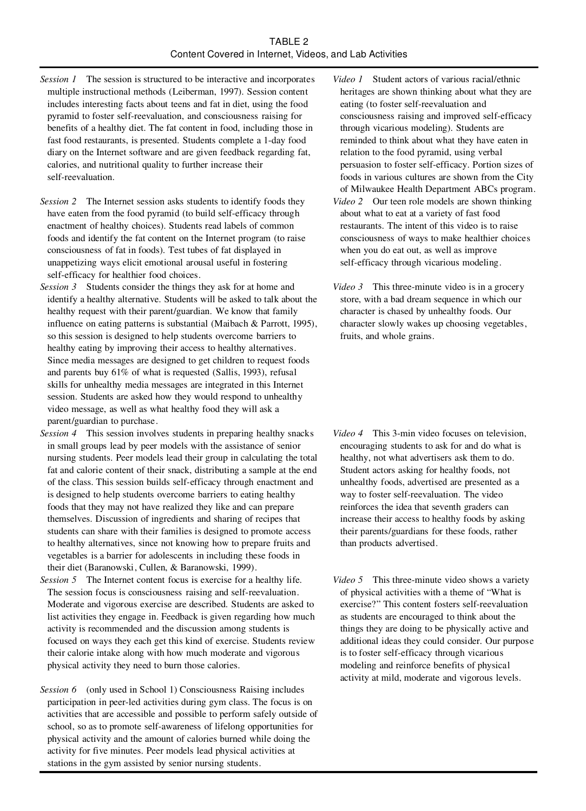#### TARI F 2 Content Covered in Internet, Videos, and Lab Activities

- *Session 1* The session is structured to be interactive and incorporates multiple instructional methods (Leiberman, 1997). Session content includes interesting facts about teens and fat in diet, using the food pyramid to foster self-reevaluation, and consciousness raising for benefits of a healthy diet. The fat content in food, including those in fast food restaurants, is presented. Students complete a 1-day food diary on the Internet software and are given feedback regarding fat, calories, and nutritional quality to further increase their self-reevaluation.
- *Session 2* The Internet session asks students to identify foods they have eaten from the food pyramid (to build self-efficacy through enactment of healthy choices). Students read labels of common foods and identify the fat content on the Internet program (to raise consciousness of fat in foods). Test tubes of fat displayed in unappetizing ways elicit emotional arousal useful in fostering self-efficacy for healthier food choices.
- *Session 3* Students consider the things they ask for at home and identify a healthy alternative. Students will be asked to talk about the healthy request with their parent/guardian. We know that family influence on eating patterns is substantial (Maibach & Parrott, 1995), so this session is designed to help students overcome barriers to healthy eating by improving their access to healthy alternatives. Since media messages are designed to get children to request foods and parents buy 61% of what is requested (Sallis, 1993), refusal skills for unhealthy media messages are integrated in this Internet session. Students are asked how they would respond to unhealthy video message, as well as what healthy food they will ask a parent/guardian to purchase.
- *Session 4* This session involves students in preparing healthy snacks in small groups lead by peer models with the assistance of senior nursing students. Peer models lead their group in calculating the total fat and calorie content of their snack, distributing a sample at the end of the class. This session builds self-efficacy through enactment and is designed to help students overcome barriers to eating healthy foods that they may not have realized they like and can prepare themselves. Discussion of ingredients and sharing of recipes that students can share with their families is designed to promote access to healthy alternatives, since not knowing how to prepare fruits and vegetables is a barrier for adolescents in including these foods in their diet (Baranowski, Cullen, & Baranowski, 1999).
- *Session 5* The Internet content focus is exercise for a healthy life. The session focus is consciousness raising and self-reevaluation. Moderate and vigorous exercise are described. Students are asked to list activities they engage in. Feedback is given regarding how much activity is recommended and the discussion among students is focused on ways they each get this kind of exercise. Students review their calorie intake along with how much moderate and vigorous physical activity they need to burn those calories.
- *Session 6* (only used in School 1) Consciousness Raising includes participation in peer-led activities during gym class. The focus is on activities that are accessible and possible to perform safely outside of school, so as to promote self-awareness of lifelong opportunities for physical activity and the amount of calories burned while doing the activity for five minutes. Peer models lead physical activities at stations in the gym assisted by senior nursing students.
- *Video 1* Student actors of various racial/ethnic heritages are shown thinking about what they are eating (to foster self-reevaluation and consciousness raising and improved self-efficacy through vicarious modeling). Students are reminded to think about what they have eaten in relation to the food pyramid, using verbal persuasion to foster self-efficacy. Portion sizes of foods in various cultures are shown from the City of Milwaukee Health Department ABCs program.
- *Video 2* Our teen role models are shown thinking about what to eat at a variety of fast food restaurants. The intent of this video is to raise consciousness of ways to make healthier choices when you do eat out, as well as improve self-efficacy through vicarious modeling.
- *Video 3* This three-minute video is in a grocery store, with a bad dream sequence in which our character is chased by unhealthy foods. Our character slowly wakes up choosing vegetables, fruits, and whole grains.

- *Video 4* This 3-min video focuses on television, encouraging students to ask for and do what is healthy, not what advertisers ask them to do. Student actors asking for healthy foods, not unhealthy foods, advertised are presented as a way to foster self-reevaluation. The video reinforces the idea that seventh graders can increase their access to healthy foods by asking their parents/guardians for these foods, rather than products advertised.
- *Video 5* This three-minute video shows a variety of physical activities with a theme of "What is exercise?" This content fosters self-reevaluation as students are encouraged to think about the things they are doing to be physically active and additional ideas they could consider. Our purpose is to foster self-efficacy through vicarious modeling and reinforce benefits of physical activity at mild, moderate and vigorous levels.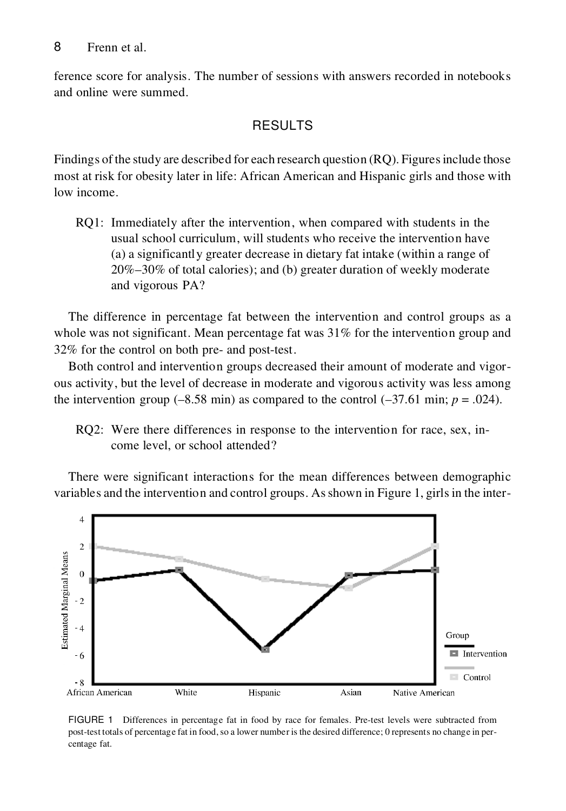ference score for analysis. The number of sessions with answers recorded in notebooks and online were summed.

## RESULTS

Findings of the study are described for each research question (RQ). Figures include those most at risk for obesity later in life: African American and Hispanic girls and those with low income.

RQ1: Immediately after the intervention, when compared with students in the usual school curriculum, will students who receive the intervention have (a) a significantly greater decrease in dietary fat intake (within a range of 20%–30% of total calories); and (b) greater duration of weekly moderate and vigorous PA?

The difference in percentage fat between the intervention and control groups as a whole was not significant. Mean percentage fat was  $31\%$  for the intervention group and 32% for the control on both pre- and post-test.

Both control and intervention groups decreased their amount of moderate and vigor ous activity, but the level of decrease in moderate and vigorous activity was less among the intervention group  $(-8.58 \text{ min})$  as compared to the control  $(-37.61 \text{ min}; p = .024)$ .

RQ2: Were there differences in response to the intervention for race, sex, in come level, or school attended?

There were significant interactions for the mean differences between demographic variables and the intervention and control groups. Asshown in Figure 1, girlsin the inter-



FIGURE 1 Differences in percentage fat in food by race for females. Pre-test levels were subtracted from post-test totals of percentage fat in food,so a lower number is the desired difference; 0 represents no change in per centage fat.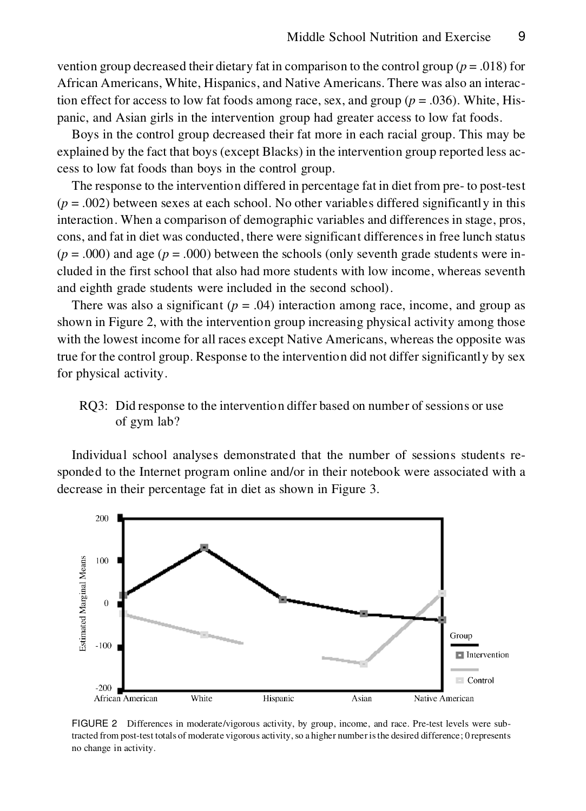vention group decreased their dietary fat in comparison to the control group (*p* = .018) for African Americans, White, Hispanics, and Native Americans. There was also an interaction effect for access to low fat foods among race, sex, and group ( $p = .036$ ). White, Hispanic, and Asian girls in the intervention group had greater access to low fat foods.

Boys in the control group decreased their fat more in each racial group. This may be explained by the fact that boys (except Blacks) in the intervention group reported less ac cess to low fat foods than boys in the control group.

The response to the intervention differed in percentage fat in diet from pre- to post-test  $(p = .002)$  between sexes at each school. No other variables differed significantly in this interaction. When a comparison of demographic variables and differences in stage, pros, cons, and fat in diet was conducted, there were significant differencesin free lunch status  $(p = .000)$  and age  $(p = .000)$  between the schools (only seventh grade students were included in the first school that also had more students with low income, whereas seventh and eighth grade students were included in the second school).

There was also a significant ( $p = .04$ ) interaction among race, income, and group as shown in Figure 2, with the intervention group increasing physical activity among those with the lowest income for all races except Native Americans, whereas the opposite was true for the control group. Response to the intervention did not differ significantly by sex for physical activity.

RQ3: Did response to the intervention differ based on number of sessions or use of gym lab?

Individual school analyses demonstrated that the number of sessions students responded to the Internet program online and/or in their notebook were associated with a decrease in their percentage fat in diet as shown in Figure 3.



FIGURE 2 Differences in moderate/vigorous activity, by group, income, and race. Pre-test levels were subtracted from post-test totals of moderate vigorous activity, so a higher number is the desired difference; 0 represents no change in activity.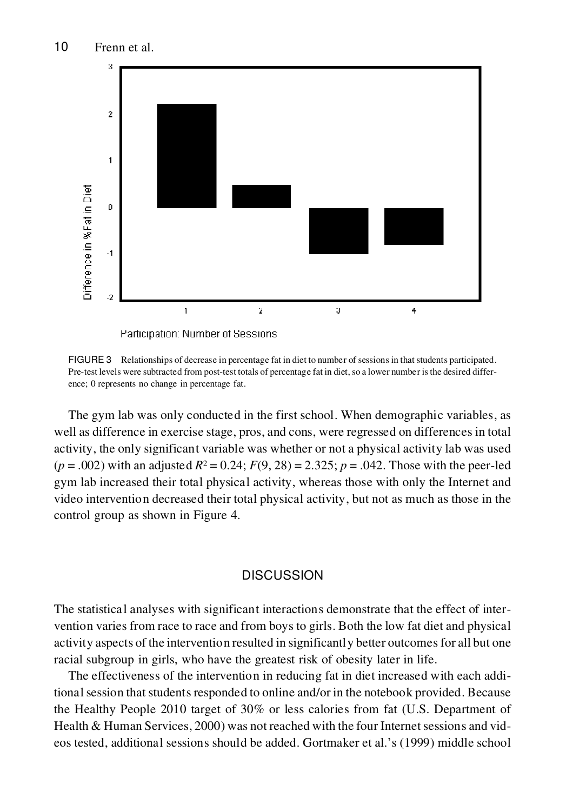

FIGURE 3 Relationships of decrease in percentage fat in diet to number of sessionsin that students participated. Pre-test levels were subtracted from post-test totals of percentage fat in diet, so a lower number is the desired difference; 0 represents no change in percentage fat.

The gym lab was only conducted in the first school. When demographic variables, as well as difference in exercise stage, pros, and cons, were regressed on differences in total activity, the only significant variable was whether or not a physical activity lab was used  $(p = .002)$  with an adjusted  $R^2 = 0.24$ ;  $F(9, 28) = 2.325$ ;  $p = .042$ . Those with the peer-led gym lab increased their total physical activity, whereas those with only the Internet and video intervention decreased their total physical activity, but not as much as those in the control group as shown in Figure 4.

#### DISCUSSION

The statistical analyses with significant interactions demonstrate that the effect of inter vention varies from race to race and from boys to girls. Both the low fat diet and physical activity aspects of the intervention resulted in significantly better outcomesfor all but one racial subgroup in girls, who have the greatest risk of obesity later in life.

The effectiveness of the intervention in reducing fat in diet increased with each additional session that students responded to online and/or in the notebook provided. Because the Healthy People 2010 target of 30% or less calories from fat (U.S. Department of Health & Human Services,  $2000$ ) was not reached with the four Internet sessions and videos tested, additional sessions should be added. Gortmaker et al.'s (1999) middle school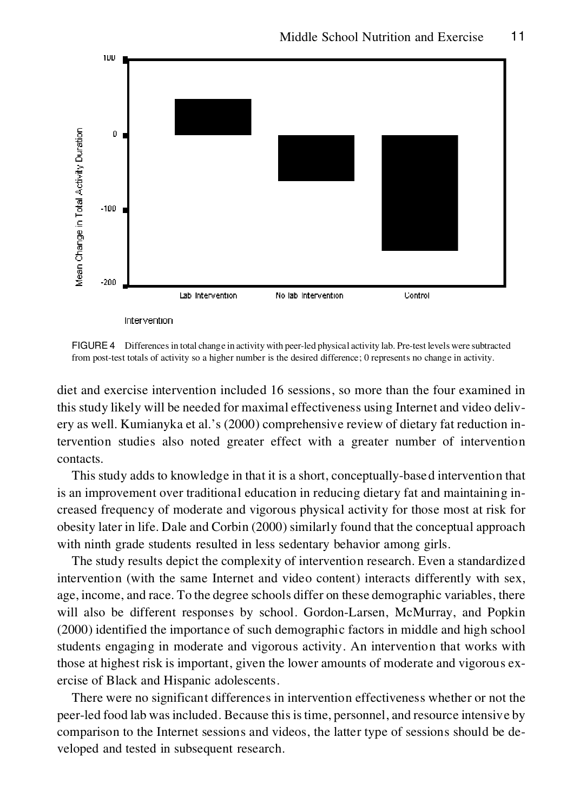

FIGURE 4 Differencesin total change in activity with peer-led physical activity lab. Pre-test levels were subtracted from post-test totals of activity so a higher number is the desired difference; 0 represents no change in activity.

diet and exercise intervention included 16 sessions, so more than the four examined in this study likely will be needed for maximal effectiveness using Internet and video deliv ery as well. Kumianyka et al.'s (2000) comprehensive review of dietary fat reduction intervention studies also noted greater effect with a greater number of intervention contacts.

This study adds to knowledge in that it is a short, conceptually-based intervention that is an improvement over traditional education in reducing dietary fat and maintaining in creased frequency of moderate and vigorous physical activity for those most at risk for obesity later in life. Dale and Corbin (2000) similarly found that the conceptual approach with ninth grade students resulted in less sedentary behavior among girls.

The study results depict the complexity of intervention research. Even a standardized intervention (with the same Internet and video content) interacts differently with sex, age, income, and race. To the degree schools differ on these demographic variables, there will also be different responses by school. Gordon-Larsen, McMurray, and Popkin (2000) identified the importance of such demographic factors in middle and high school students engaging in moderate and vigorous activity. An intervention that works with those at highest risk is important, given the lower amounts of moderate and vigorous ex ercise of Black and Hispanic adolescents.

There were no significant differences in intervention effectiveness whether or not the peer-led food lab wasincluded. Because thisistime, personnel, and resource intensive by comparison to the Internet sessions and videos, the latter type of sessions should be de veloped and tested in subsequent research.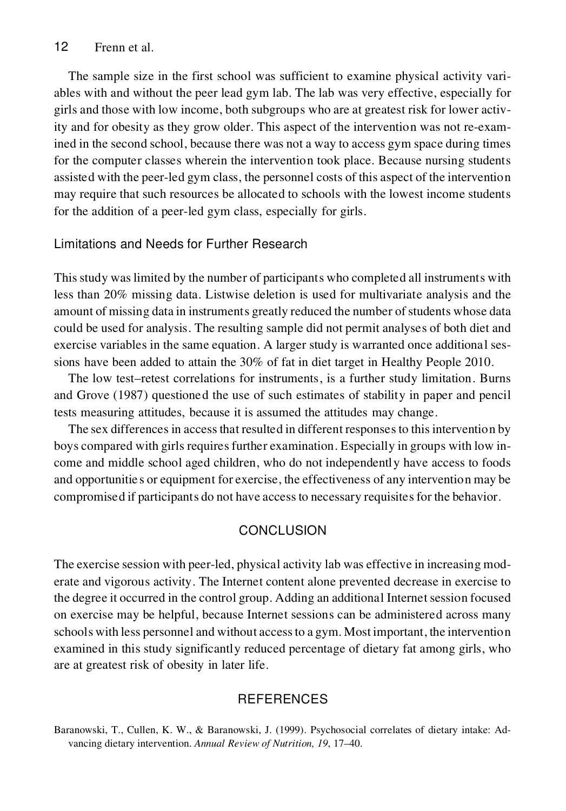The sample size in the first school was sufficient to examine physical activity vari ables with and without the peer lead gym lab. The lab was very effective, especially for girls and those with low income, both subgroups who are at greatest risk for lower activity and for obesity as they grow older. This aspect of the intervention was not re-examined in the second school, because there was not a way to access gym space during times for the computer classes wherein the intervention took place. Because nursing students assisted with the peer-led gym class, the personnel costs of this aspect of the intervention may require that such resources be allocated to schools with the lowest income students for the addition of a peer-led gym class, especially for girls.

#### Limitations and Needs for Further Research

Thisstudy waslimited by the number of participants who completed all instruments with less than 20% missing data. Listwise deletion is used for multivariate analysis and the amount of missing data in instruments greatly reduced the number of students whose data could be used for analysis. The resulting sample did not permit analyses of both diet and exercise variables in the same equation. A larger study is warranted once additional sessions have been added to attain the 30% of fat in diet target in Healthy People 2010.

The low test–retest correlations for instruments, is a further study limitation. Burns and Grove (1987) questioned the use of such estimates of stability in paper and pencil tests measuring attitudes, because it is assumed the attitudes may change.

The sex differences in access that resulted in different responses to this intervention by boys compared with girls requires further examination. Especially in groups with low income and middle school aged children, who do not independently have access to foods and opportunitie s or equipment for exercise, the effectiveness of any intervention may be compromised if participants do not have access to necessary requisites for the behavior.

#### **CONCLUSION**

The exercise session with peer-led, physical activity lab was effective in increasing mod erate and vigorous activity. The Internet content alone prevented decrease in exercise to the degree it occurred in the control group. Adding an additional Internet session focused on exercise may be helpful, because Internet sessions can be administered across many schools with less personnel and without accessto a gym. Most important, the intervention examined in this study significantly reduced percentage of dietary fat among girls, who are at greatest risk of obesity in later life.

#### **REFERENCES**

Baranowski, T., Cullen, K. W., & Baranowski, J. (1999). Psychosocial correlates of dietary intake: Ad vancing dietary intervention. *Annual Review of Nutrition, 19*, 17–40.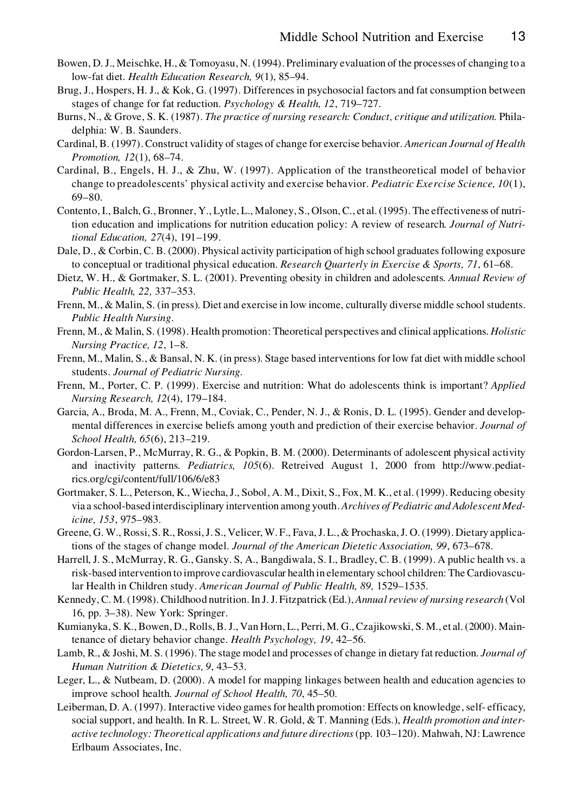- Bowen, D.J., Meischke, H.,& Tomoyasu, N. (1994). Preliminary evaluation of the processes of changing to a low-fat diet. *Health Education Research, 9*(1), 85–94.
- Brug, J., Hospers, H. J., & Kok, G. (1997). Differences in psychosocial factors and fat consumption between stages of change for fat reduction. *Psychology & Health, 12*, 719–727.
- Burns, N., & Grove, S. K. (1987). *The practice of nursing research: Conduct, critique and utilization.* Philadelphia: W. B. Saunders.
- Cardinal, B. (1997).Construct validity of stages of change for exercise behavior. *American Journal of Health Promotion, 12*(1), 68–74.
- Cardinal, B., Engels, H. J., & Zhu, W. (1997). Application of the transtheoretical model of behavior change to preadolescents' physical activity and exercise behavior. *Pediatric Exercise Science, 10*(1), 69–80.
- Contento,I.,Balch, G.,Bronner, Y., Lytle, L., Maloney, S., Olson,C., et al.(1995). The effectiveness of nutrition education and implications for nutrition education policy: A review of research. *Journal of Nutritional Education, 27*(4), 191–199.
- Dale, D., & Corbin, C. B. (2000). Physical activity participation of high school graduates following exposure to conceptual or traditional physical education. *Research Quarterly in Exercise & Sports, 71*, 61–68.
- Dietz, W. H., & Gortmaker, S. L. (2001). Preventing obesity in children and adolescents. *Annual Review of Public Health, 22,* 337–353.
- Frenn, M., & Malin, S. (in press). Diet and exercise in low income, culturally diverse middle school students. *Public Health Nursing*.
- Frenn, M., & Malin, S. (1998). Health promotion: Theoretical perspectives and clinical applications. *Holistic Nursing Practice, 12*, 1–8.
- Frenn, M., Malin, S., & Bansal, N. K. (in press). Stage based interventions for low fat diet with middle school students. *Journal of Pediatric Nursing.*
- Frenn, M., Porter, C. P. (1999). Exercise and nutrition: What do adolescents think is important? *Applied Nursing Research, 12*(4), 179–184.
- Garcia, A., Broda, M. A., Frenn, M., Coviak, C., Pender, N. J., & Ronis, D. L. (1995). Gender and develop mental differences in exercise beliefs among youth and prediction of their exercise behavior. *Journal of School Health, 65*(6), 213–219.
- Gordon-Larsen, P., McMurray, R. G., & Popkin, B. M. (2000). Determinants of adolescent physical activity and inactivity patterns. *Pediatrics, 105*(6). Retreived August 1, 2000 from http://www.pediatrics.org/cgi/content/full/106/6/e83
- Gortmaker, S. L., Peterson, K., Wiecha, J., Sobol, A. M., Dixit, S., Fox, M. K., et al. (1999). Reducing obesity via a school-based interdisciplinary intervention among youth. *Archives of Pediatric and Adolescent Medicine, 153*, 975–983.
- Greene, G. W., Rossi, S. R., Rossi,J. S., Velicer, W. F., Fava,J.L.,& Prochaska,J. O.(1999). Dietary applications of the stages of change model. *Journal of the American Dietetic Association, 99*, 673–678.
- Harrell, J. S., McMurray, R. G., Gansky. S, A., Bangdiwala, S. I., Bradley, C. B. (1999). A public health vs. a risk-based intervention to improve cardiovascular health in elementary school children: The Cardiovascular Health in Children study. *American Journal of Public Health, 89,* 1529–1535*.*
- Kennedy, C. M.(1998).Childhood nutrition.In J.J. Fitzpatrick (Ed.), *Annualreview of nursing research* (Vol 16, pp. 3–38). New York: Springer.
- Kumianyka, S. K.,Bowen, D.,Rolls,B.J., Van Horn, L., Perri, M. G.,Czajikowski, S. M., et al.(2000). Maintenance of dietary behavior change. *Health Psychology, 19*, 42–56.
- Lamb, R., & Joshi, M. S. (1996). The stage model and processes of change in dietary fat reduction. *Journal of Human Nutrition & Dietetics, 9*, 43–53.
- Leger, L., & Nutbeam, D. (2000). A model for mapping linkages between health and education agencies to improve school health. *Journal of School Health, 70*, 45–50.
- Leiberman, D. A. (1997). Interactive video games for health promotion: Effects on knowledge, self- efficacy, social support, and health. In R. L. Street, W. R. Gold, & T. Manning (Eds.), *Health promotion and inter active technology: Theoretical applications and future directions*(pp. 103–120). Mahwah, NJ: Lawrence Erlbaum Associates, Inc.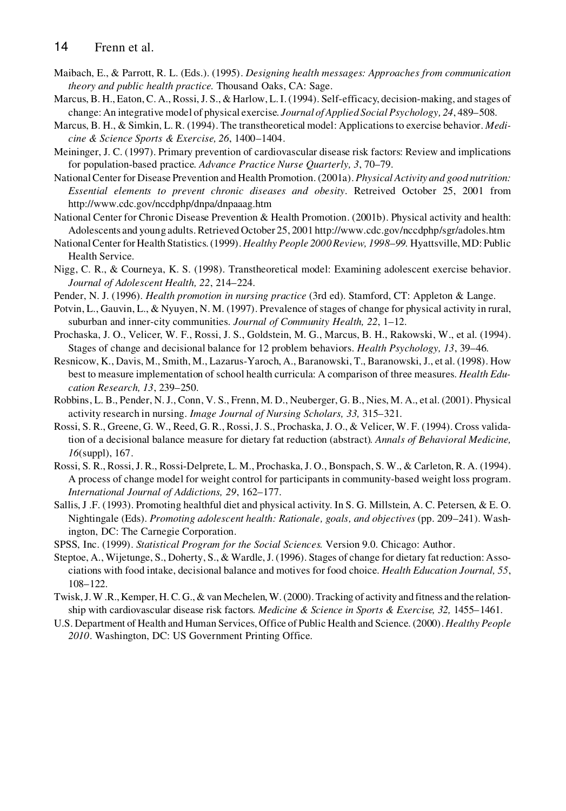- Maibach, E., & Parrott, R. L. (Eds.). (1995). *Designing health messages: Approaches from communication theory and public health practice.* Thousand Oaks, CA: Sage.
- Marcus, B. H., Eaton,C. A., Rossi,J. S., & Harlow, L.I.(1994). Self-efficacy, decision-making, and stages of change: An integrative model of physical exercise. *Journal of Applied Social Psychology, 24*, 489–508.
- Marcus, B. H., & Simkin, L. R. (1994). The transtheoretical model: Applicationsto exercise behavior. *Medicine & Science Sports & Exercise, 26*, 1400–1404.
- Meininger, J. C. (1997). Primary prevention of cardiovascular disease risk factors: Review and implications for population-based practice. *Advance Practice Nurse Quarterly, 3*, 70–79.
- NationalCenter for Disease Prevention and Health Promotion. (2001a). *Physical Activity and good nutrition: Essential elements to prevent chronic diseases and obesity*. Retreived October 25, 2001 from http://www.cdc.gov/nccdphp/dnpa/dnpaaag.htm
- National Center for Chronic Disease Prevention & Health Promotion. (2001b). Physical activity and health: Adolescents and young adults.Retrieved October 25, 2001 http://www.cdc.gov/nccdphp/sgr/adoles.htm
- NationalCenter for Health Statistics.(1999). *Healthy People 2000Review, 1998*–*99.* Hyattsville, MD: Public Health Service.
- Nigg, C. R., & Courneya, K. S. (1998). Transtheoretical model: Examining adolescent exercise behavior. *Journal of Adolescent Health, 22*, 214–224.
- Pender, N. J. (1996). *Health promotion in nursing practice* (3rd ed). Stamford, CT: Appleton & Lange.
- Potvin, L., Gauvin, L., & Nyuyen, N. M. (1997). Prevalence of stages of change for physical activity in rural, suburban and inner-city communities. *Journal of Community Health, 22*, 1–12.
- Prochaska, J. O., Velicer, W. F., Rossi, J. S., Goldstein, M. G., Marcus, B. H., Rakowski, W., et al. (1994). Stages of change and decisional balance for 12 problem behaviors. *Health Psychology, 13*, 39–46.
- Resnicow, K., Davis, M., Smith, M., Lazarus-Yaroch, A., Baranowski, T., Baranowski, J., et al. (1998). How best to measure implementation of school health curricula: A comparison of three measures. *Health Education Research, 13*, 239–250.
- Robbins, L. B., Pender, N.J., Conn, V. S., Frenn, M. D., Neuberger, G. B., Nies, M. A., et al. (2001). Physical activity research in nursing. *Image Journal of Nursing Scholars, 33,* 315–321.
- Rossi, S. R., Greene, G. W., Reed, G. R., Rossi,J. S., Prochaska, J. O., & Velicer, W. F. (1994). Cross validation of a decisional balance measure for dietary fat reduction (abstract). *Annals of Behavioral Medicine, 16*(suppl), 167.
- Rossi, S. R., Rossi,J. R., Rossi-Delprete, L. M., Prochaska,J. O., Bonspach, S. W., & Carleton, R. A. (1994). A process of change model for weight control for participants in community-based weight loss program. *International Journal of Addictions, 29*, 162–177.
- Sallis, J .F. (1993). Promoting healthful diet and physical activity. In S. G. Millstein, A. C. Petersen, & E. O. Nightingale (Eds). *Promoting adolescent health: Rationale, goals, and objectives* (pp. 209–241). Washington, DC: The Carnegie Corporation.
- SPSS, Inc. (1999). *Statistical Program for the Social Sciences.* Version 9.0. Chicago: Author.
- Steptoe, A., Wijetunge, S., Doherty, S., & Wardle,J. (1996). Stages of change for dietary fat reduction: Asso ciations with food intake, decisional balance and motives for food choice. *Health Education Journal, 55*, 108–122.
- Twisk,J.W .R.,Kemper, H.C. G.,& van Mechelen,W.(2000). Tracking of activity and fitness and the relationship with cardiovascular disease risk factors. *Medicine & Science in Sports & Exercise, 32,* 1455–1461.
- U.S. Department of Health and Human Services, Office of Public Health and Science. (2000). *Healthy People 2010*. Washington, DC: US Government Printing Office.